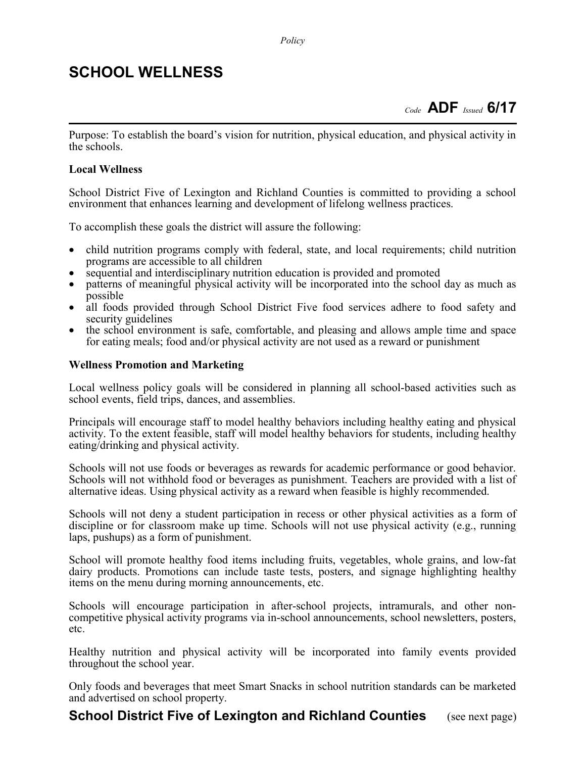### SCHOOL WELLNESS

Purpose: To establish the board's vision for nutrition, physical education, and physical activity in the schools.

#### Local Wellness

School District Five of Lexington and Richland Counties is committed to providing a school environment that enhances learning and development of lifelong wellness practices.

To accomplish these goals the district will assure the following:

- child nutrition programs comply with federal, state, and local requirements; child nutrition programs are accessible to all children
- sequential and interdisciplinary nutrition education is provided and promoted
- patterns of meaningful physical activity will be incorporated into the school day as much as possible
- all foods provided through School District Five food services adhere to food safety and security guidelines
- the school environment is safe, comfortable, and pleasing and allows ample time and space for eating meals; food and/or physical activity are not used as a reward or punishment

#### Wellness Promotion and Marketing

Local wellness policy goals will be considered in planning all school-based activities such as school events, field trips, dances, and assemblies.

Principals will encourage staff to model healthy behaviors including healthy eating and physical activity. To the extent feasible, staff will model healthy behaviors for students, including healthy eating/drinking and physical activity.

Schools will not use foods or beverages as rewards for academic performance or good behavior. Schools will not withhold food or beverages as punishment. Teachers are provided with a list of alternative ideas. Using physical activity as a reward when feasible is highly recommended.

Schools will not deny a student participation in recess or other physical activities as a form of discipline or for classroom make up time. Schools will not use physical activity (e.g., running laps, pushups) as a form of punishment.

School will promote healthy food items including fruits, vegetables, whole grains, and low-fat dairy products. Promotions can include taste tests, posters, and signage highlighting healthy items on the menu during morning announcements, etc.

Schools will encourage participation in after-school projects, intramurals, and other noncompetitive physical activity programs via in-school announcements, school newsletters, posters, etc.

Healthy nutrition and physical activity will be incorporated into family events provided throughout the school year.

Only foods and beverages that meet Smart Snacks in school nutrition standards can be marketed and advertised on school property.

### **School District Five of Lexington and Richland Counties** (see next page)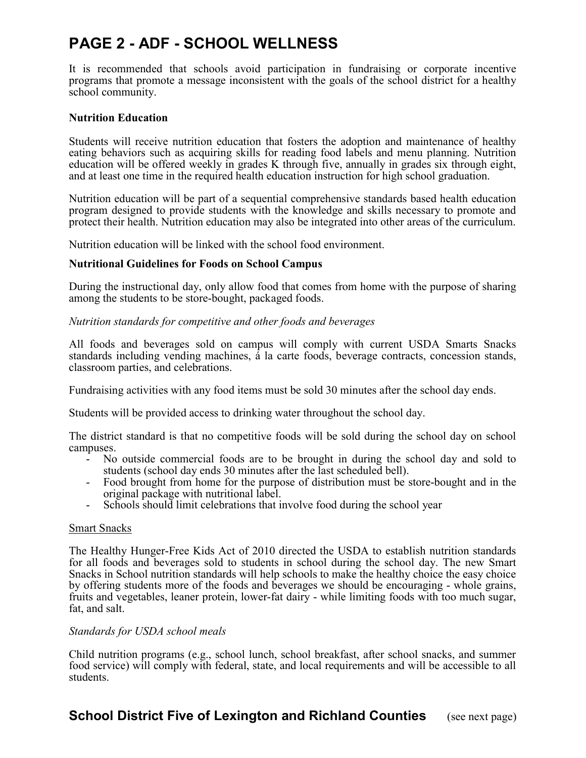# PAGE 2 - ADF - SCHOOL WELLNESS

It is recommended that schools avoid participation in fundraising or corporate incentive programs that promote a message inconsistent with the goals of the school district for a healthy school community.

#### Nutrition Education

Students will receive nutrition education that fosters the adoption and maintenance of healthy eating behaviors such as acquiring skills for reading food labels and menu planning. Nutrition education will be offered weekly in grades K through five, annually in grades six through eight, and at least one time in the required health education instruction for high school graduation.

Nutrition education will be part of a sequential comprehensive standards based health education program designed to provide students with the knowledge and skills necessary to promote and protect their health. Nutrition education may also be integrated into other areas of the curriculum.

Nutrition education will be linked with the school food environment.

#### Nutritional Guidelines for Foods on School Campus

During the instructional day, only allow food that comes from home with the purpose of sharing among the students to be store-bought, packaged foods.

#### Nutrition standards for competitive and other foods and beverages

All foods and beverages sold on campus will comply with current USDA Smarts Snacks standards including vending machines, á la carte foods, beverage contracts, concession stands, classroom parties, and celebrations.

Fundraising activities with any food items must be sold 30 minutes after the school day ends.

Students will be provided access to drinking water throughout the school day.

The district standard is that no competitive foods will be sold during the school day on school campuses.

- No outside commercial foods are to be brought in during the school day and sold to students (school day ends 30 minutes after the last scheduled bell).
- Food brought from home for the purpose of distribution must be store-bought and in the original package with nutritional label.
- Schools should limit celebrations that involve food during the school year

#### Smart Snacks

The Healthy Hunger-Free Kids Act of 2010 directed the USDA to establish nutrition standards for all foods and beverages sold to students in school during the school day. The new Smart Snacks in School nutrition standards will help schools to make the healthy choice the easy choice by offering students more of the foods and beverages we should be encouraging - whole grains, fruits and vegetables, leaner protein, lower-fat dairy - while limiting foods with too much sugar, fat, and salt.

#### Standards for USDA school meals

Child nutrition programs (e.g., school lunch, school breakfast, after school snacks, and summer food service) will comply with federal, state, and local requirements and will be accessible to all students.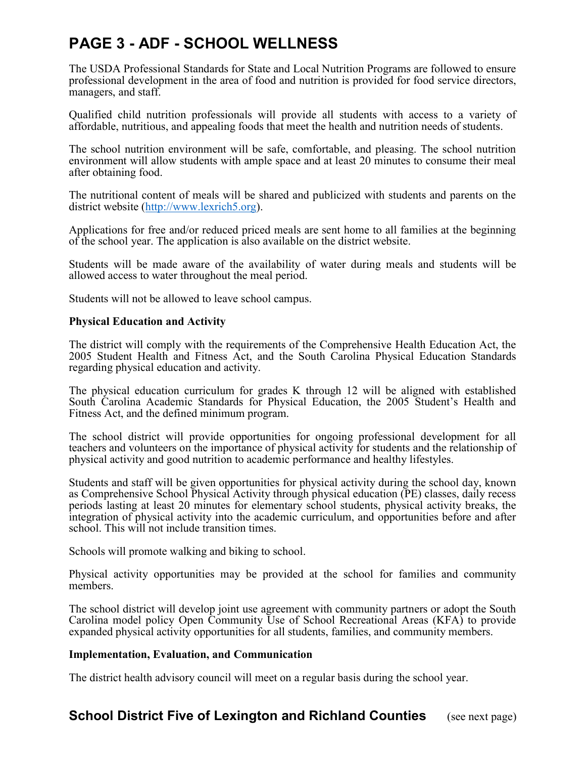# PAGE 3 - ADF - SCHOOL WELLNESS

The USDA Professional Standards for State and Local Nutrition Programs are followed to ensure professional development in the area of food and nutrition is provided for food service directors, managers, and staff.

Qualified child nutrition professionals will provide all students with access to a variety of affordable, nutritious, and appealing foods that meet the health and nutrition needs of students.

The school nutrition environment will be safe, comfortable, and pleasing. The school nutrition environment will allow students with ample space and at least 20 minutes to consume their meal after obtaining food.

The nutritional content of meals will be shared and publicized with students and parents on the district website (http://www.lexrich5.org).

Applications for free and/or reduced priced meals are sent home to all families at the beginning of the school year. The application is also available on the district website.

Students will be made aware of the availability of water during meals and students will be allowed access to water throughout the meal period.

Students will not be allowed to leave school campus.

#### Physical Education and Activity

The district will comply with the requirements of the Comprehensive Health Education Act, the 2005 Student Health and Fitness Act, and the South Carolina Physical Education Standards regarding physical education and activity.

The physical education curriculum for grades K through 12 will be aligned with established South Carolina Academic Standards for Physical Education, the 2005 Student's Health and Fitness Act, and the defined minimum program.

The school district will provide opportunities for ongoing professional development for all teachers and volunteers on the importance of physical activity for students and the relationship of physical activity and good nutrition to academic performance and healthy lifestyles.

Students and staff will be given opportunities for physical activity during the school day, known as Comprehensive School Physical Activity through physical education (PE) classes, daily recess periods lasting at least 20 minutes for elementary school students, physical activity breaks, the integration of physical activity into the academic curriculum, and opportunities before and after school. This will not include transition times.

Schools will promote walking and biking to school.

Physical activity opportunities may be provided at the school for families and community members.

The school district will develop joint use agreement with community partners or adopt the South Carolina model policy Open Community Use of School Recreational Areas (KFA) to provide expanded physical activity opportunities for all students, families, and community members.

#### Implementation, Evaluation, and Communication

The district health advisory council will meet on a regular basis during the school year.